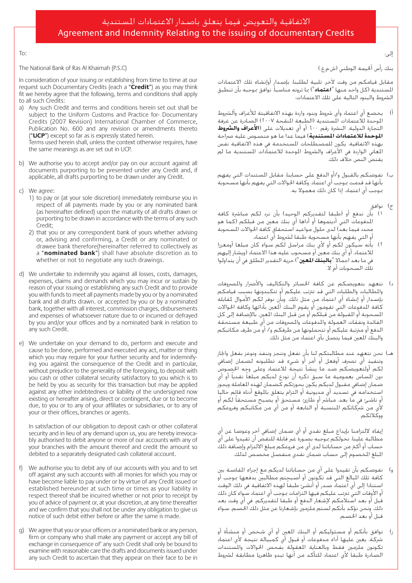## Agreement and Indemnity Relating to the issuing of documentary Credits الاتفاقية والتعويض فيما يتعلق باصدار الاعتمادات المستندية

إلى:

بنك رأس أخيمة الوطني (ش.م.ع.)

مقابل قيامكم من وقت لآخر، تلبية لطلبنا، بإصدار أوإنشاء تلك الاعتمادات امل�شتندية )كل واحد منها »**اعتماد**«( مبا ترونه منا�شبأ، نوافق مبوجبه بأن تنطبق ال�رشوط والبنود التالية على تلك االعتمادات:

- أ) يخضع أي اعتماد وأي شروط وبنود واردة بهذه الاتفاقيتة للأعراف وألشروط الموحدة للاعتمادات المستندية (الطبعة المنقحة ٢٠٠٧) الصادرة عن غرفة التجارة الدولية، الن�رشة رقم 6٠٠ أو أي تعديالت على )**الأعراف وال�رشوط الموحدة للاعتمادات المستندية**) فيما عدا ما هو منصـوص عليه صراحة بهذه الاتفاقية. يكون للمصطلحات المستخدمة في هذه الاتفاقية نفس المعاني الواردة في الأعراف والشروط الموحدة للاعتمادات المستندية ما لم يقت�ض الن�ص خالف ذلك.
- ب) نفوضكم بالقبول و/أو الدفع على حسابنا، مقابل المستندات التي يفهم بأنها قد قدمت مبوجب أي اعتماد، وكافة احلواالت التي يفهم بأنها م�سحوبة مبوجب أي اعتماد، إذا كان ذلك معموال به.
	- ج) نوافق
- 1( بأن ندفع أو )طبقا لتقديركم الوحيد( بأن نرد لكم مبا�رشة كافة املدفوعات التي أديتموها أو أداها أي بنك معني من قبلكم )كما هو محدد فيما بعد) لدى حلول مواعيد استحقاق كافة الحوالات السـحوبة أو التي يفهم بأنها مسحوية طبقا لشروط أي اعتماد.
- .<br>بأنه سيكون لكم أو لأي بنك مراسل لكم سواء كان مبلغا أومعززا للاعتماد، أو أي بنك معين أو مسـحـوب عليه هذا الاعتماد (ويشار إليهم يف ما بعد اجماال »**بالبنك املعني**«( حرية التقدير املطلق يف أن يتداولوا تلك ال�سحوبات أم ال.
- د) نتعهد بتعويضكم عن كافة الخسائر والتكاليف والأضرار والمصروفات واملطالبات والطلبات التي قد ترتتب عليكم أو تتكبدونها ب�سبب قيامكم بإ�صدار أو إن�شاء أي اعتماد من مثل ذلك، وبأن نوفر لكم الأموال ملقابلة كافة المدفوعات التي تقومون او يقوم البنك المعين بادائها وكافة الحوالات السحوبة أو المهبولة من قبلكم أو من قبل البنك العين، بالإضافة إلى كل الفائدة ونفقات العمولة والدفوعات والصروفات من أي طبيعة مستحقة الدفع أو مرتتبة عليكم أو تتحملونها من طرفكم و/ أو من طرف مكاتبكم والبنك املعني فيما يت�صل بأي اعتماد من مثل ذلك.
- هـ) نحن نتعهد عند مطالبتكم لنا بأن نفعل وننجز وننفذ ونوعز بفعل واجاز وتنفيذ أي تصبر أوفعل أو أمر أو شـيء قد تطلبونه لضحان إضافي لكم اولتعويضكم ضد ما ينشا نتيجة للاعتماد وعلى وجِه الخصوص دون المساس بعمومية ما سبق ذكره أن نودع لديكم مبلغا نقديا أو أي ضمان إضافي مقبول لديكم يكون بحوزتكم كضمان لهذه المعاملة ويجوز استخدامه في تسديد أي مديونية أو التزام يتعلق بالموقع أدناه قائِم حاليا و ناشـئ في ما بعـد، مباشر أو طارئ، مسـتحق أو يصـبح مسـتحقـا لكـم أو لا<br>لأي من شركاتكم النتسبة أو التابعة أو من أي من مكاتبكم وفروعكم ووكالئكم.

يفاء لالتزامنا بإيداع مبلغ نقدي أو أي ضمان إضافي آخر وعوضا عن أي مطالبة علينا، نخولكم موجبه بصورة غير قابلة للنقض ان تقيدوا على اي حساب او اكثر من حساباتنا لدى اي من فروعكم مبلغ الالتزام وإضافة ذلك البلغ الخصوم إلى حساب ضمان نقدي منفصل مخصص لذلك.<br>البلغ الخصوم إلى حساب ضمان نقدي منفصل مخصص لذلك.

- و) نفوضكم بأن تقيدوا على أي من حساباتنا لديكم مع إجراء المقاصة بين كافة تلك املبالغ التي قد تكونون أو أ�صبحتم مطالبني بدفعها مبوجب أو استنادا إلى أي اعتماد صدر أو أنشئ طبقا لهذه الاتفاقية في ذلك الوقت أو الأوقات التي ترتتب عليكم فيها التزامات مبوجب أي اعتماد �سواء كان ذلك قبل أو بعد استلامكم لإشعار الدفع أو طبقا لتقديركم، في أي وقت بعد ذلك، ونحن نؤكد بأنكم لستم ملزمين بإشعارنا عن مثل ذلك الخصم، سواء قبل أو بعد الخصص.
- ز) نوافق بأنكم أو مسئوليكم أو البنك المعين أو أي شخص أو منشأة أو �رشكة، يعني عليها أداء مدفوعات أو قبول أي كمبيالة نتيجة لأي اعتماد تكونون ملزمين فقط وبالعناية المعقولة بفحص الحوالات والمستندات الصادرة طبقا لأي اعتماد للتأكد من أنها تبدو ظاهريا مطابقة لشروط

The National Bank of Ras Al Khaimah (P.S.C)

In consideration of your issuing or establishing from time to time at our request such Documentary Credits (each a "Credit") as you may think fit we hereby agree that the following, terms and conditions shall apply to all such Credits:

a) Any such Credit and terms and conditions herein set out shall be subject to the Uniform Customs and Practice for-Documentary Credits (2007 Revision) International Chamber of Commerce. Publication No. 600 and any revision or amendments thereto ("UCP") except so far as is expressly stated herein. Terms used herein shall, unless the context otherwise requires, have

the same meanings as are set out in UCP.

- b) We authorise you to accept and/or pay on our account against all documents purporting to be presented under any Credit and, if applicable, all drafts purporting to be drawn under any Credit.
- c) We agree:

 $To:$ 

- 1) to pay or (at your sole discretion) immediately reimburse you in respect of all payments made by you or any nominated bank (as hereinafter defined) upon the maturity of all drafts drawn or purporting to be drawn in accordance with the terms of any such ;Credit
- 2) that you or any correspondent bank of yours whether advising or, advising and confirming, a Credit or any nominated or drawee bank therefore(hereinafter referred to collectively as a "nominated bank") shall have absolute discretion as to whether or not to negotiate any such drawings.
- d) We undertake to indemnify you against all losses, costs, damages, expenses, claims and demands which you may incur or sustain by reason of your issuing or establishing any such Credit and to provide you with funds to meet all payments made by you or by a nominated bank and all drafts drawn, or accepted by you or by a nominated bank, together with all interest, commission charges, disbursements and expenses of whatsoever nature due to or incurred or defrayed by you and/or your offices and by a nominated bank in relation to any such Credit.
- e) We undertake on your demand to do, perform and execute and cause to be done, performed and executed any act, matter or thing ing you against the consequence of the Credit and in particular. which you may require for your further security and for indemnifywithout prejudice to the generality of the foregoing, to deposit with you cash or other collateral security satisfactory to you which is to be held by you as security for this transaction but may be applied against any other indebtedness or liability of the undersigned now existing or hereafter arising, direct or contingent, due or to become due, to you or to any of your affiliates or subsidiaries, or to any of your or their offices, branches or agents.

In satisfaction of our obligation to deposit cash or other collateral bly authorised to debit anyone or more of our accounts with any of security and in lieu of any demand upon us, you are hereby irrevocavour branches with the amount thereof and credit the amount so debited to a separately designated cash collateral account.

- f) We authorise you to debit any of our accounts with you and to set off against any such accounts with all monies for which you may or have become liable to pay under or by virtue of any Credit issued or established hereunder at such time or times as your liability in respect thereof shall be incurred whether or not prior to receipt by you of advice of payment or, at your discretion, at any time thereafter and we confirm that you shall not be under any obligation to give us notice of such debit either before or after the same is made.
- q) We agree that you or your officers or a nominated bank or any person, firm or company who shall make any payment or accept any bill of exchange in consequence of' any such Credit shall only be bound to examine with reasonable care the drafts and documents issued under any such Credit to ascertain that they appear on their face to be in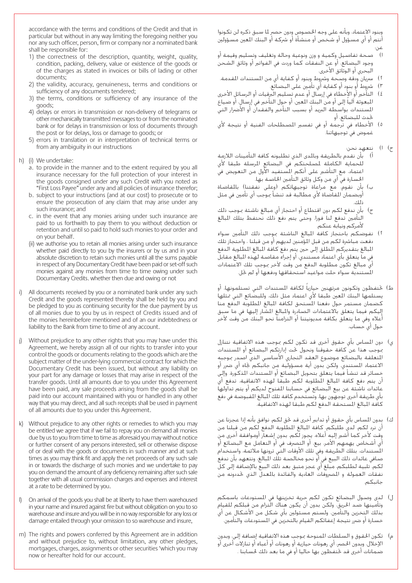accordance with the terms and conditions of the Credit and that in particular but without in any way limiting the foregoing neither you nor any such officer, person, firm or company nor a nominated bank shall be responsible for:

- 1) the correctness of the description, quantity, weight, quality, condition, packing, delivery, value or existence of the goods or of the charges as stated in invoices or bills of lading or other ;documents
- 2) the validity, accuracy, genuineness, terms and conditions or sufficiency of any documents tendered;
- 3) the terms, conditions or sufficiency of any insurance of the qoods:
- 4) delays or errors in transmission or non-delivery of telegrams or other mechanically transmitted messages to or from the nominated bank or for delays in transmission or loss of documents through the post or for delays, loss or damage to goods; or
- 5) errors in translation or in interpretation of technical terms or from any ambiguity in our instructions
- h) (i) We undertake:
	- a. to provide in the manner and to the extent required by you all insurance necessary for the full protection of your interest in the goods consigned under any such Credit with you noted as "First Loss Payee" under any and all policies of insurance therefor;
	- b. subject to your instructions (and at our cost) to prosecute or to ensure the prosecution of any claim that may arise under any such insurance; and
	- c. in the event that any monies arising under such insurance are paid to us forthwith to pay them to you without deduction or retention and until so paid to hold such monies to your order and on your behalf.
	- (ii) we authorise you to retain all monies arising under such insurance whether paid directly to you by the insurers or by us and in your absolute discretion to retain such monies until all the sums payable in respect of any Documentary Credit have been paid or set-off such monies against any monies from time to time owing under such Documentary Credits, whether then due and owing or not
- i) All documents received by you or a nominated bank under any such Credit and the goods represented thereby shall be held by you and be pledged to you as continuing security for the due payment by us of all monies due to you by us in respect of Credits issued and of the monies hereinbefore mentioned and of an our indebtedness or liability to the Bank from time to time of any account.
- j) Without prejudice to any other rights that you may have under this Agreement, we hereby assign all of our rights to transfer into your control the goods or documents relating to the goods which are the subject matter of the under-lying commercial contract for which the Documentary Credit has been issued, but without any liability on your part for any damage or losses that may arise in respect of the transfer goods. Until all amounts due to you under this Agreement have been paid, any sale proceeds arising from the goods shall be paid into our account maintained with you or handled in any other way that you may direct, and all such receipts shall be used in payment of all amounts due to you under this Agreement.
- k) Without prejudice to any other rights or remedies to which you may be entitled we agree that if we fail to repay you on demand all monies due by us to you from time to time as aforesaid you may without notice or further consent of any persons interested, sell or otherwise dispose of or deal with the goods or documents in such manner and at such times as you may think fit and apply the net proceeds of any such sale in or towards the discharge of such monies and we undertake to pay you on demand the amount of any deficiency remaining after such sale together with all usual commission charges and expenses and interest at a rate to be determined by you.
- I) On arrival of the goods you shall be at liberty to have them warehoused in your name and insured against fire but without obligation on you to so warehouse and insure and you will be in no way responsible for any loss or damage entailed through your omission to so warehouse and insure,
- m) The rights and powers conferred by this Agreement are in addition and without prejudice to, without limitation, any other pledges, mortgages, charges, assignments or other securities 'which you may now or hereafter hold for our account.

وبنود الاعتماد، وبأنه على وجه الخصـوص ودون حصرٍ لما سـبق ذكـره لن تكـونوا أنتم أو أي مسؤول أو شخص أو منشأة أو شركة أو البنك المعين مسؤولين عن:

- ا( �صحة تفا�صيل وكمية و وزن ونوعية وحالة وتغليف وت�سليم وقيمة أو وجود البضائع، أو عن النفقات كما وردت في الفواتير أو وثائق الشحن البحري أو الوثائق الأخرى.
- 1) سريان ودقة وصحة وشروط وبنود أو كفاية أي من المستندات المقدمة.
	- 3( �رشوط أو بنود أو كفاية أي تأمني على الب�ضائع.
- ٤) التأخير أو الأخطاء في إرسال أو عدم تسليم البرقيات أو الرسائل الأخرى المبعوثة اليا إلى او من البنك المعين، او حول التاخير في إرسال، او ضياع المستندات بواسطة البريد أو بسبب التأخير والفقدان أو الأضرار التي حْدث للبضائع، أو
- 0) الأخطاء في ترجمة أو في تفسير المصطلحات الفنية أو نتيجة لأي غموض في توجيهاتنا.
	- ح) ا) نتعهد نحن:
- أ) بأن نقدم بالطريقة وبالمدى الذي تطلبونه كافة التأمينات اللازمة للحماية الكاملة لمصلحتكم في البضائع المرسلة طبقا لأي اعتماد، مع التأشير على أنكم السنتفيد الأول من التعويض في الخسارة في أي من وكل وثائق التأمين الخاصـة بها.
- ب) بِأن نقوم، مع مراعاة توجيهاتكم (وعلى نفقتنا) بالمقاضاة أوبضمان المقاصاة لأي مطالبة قد تنشأ موجب أي تأمين في مثل ذلك.
- ج) بان ندفع لكم دون اقتطاع او احتجاز اي مبالغ ناشئة موجب ذلك التأمني تدفع لنا فورا، وحتى يتم دفع ذلك نحتفظ بتلك املبالغ لأمركم ونيابة عنكم.
- 1) نفوضكم باحتجاز كافة المبالغ الناشئة بموجب ذلك التأمين سواء دفعت مباشرة لكم من قبل المؤمنين لديهم أو من قبلنا ، واحتجاز تلك المبالغ بتقديركم المطلق إلى حين يتم دفع كافة المبالغ المطلوية الدفع في ماً يتعلق بأي اعتماد مستندي، أو إجراء مقاصة لهذه البالغ مقابل أي مبالغ تكون مطلوبة الدفع من وقت لآخر مبوجب تلك االعتمادات الستندية سواء حلت مواعيد استحقاقها ودفعها أو لم حَل.
- ط) خَتفظون وتكونون مرتهنين حيازيا لكافة المستندات التي تستلمونها، أو يستلمها البنك المعين طبقا لأي اعتماد مثل ذلك، وللبضائع التي ممثلها كضمان مستمر حول دفعنا المستحق لكافة المبالغ المطلوبة الدفع منا إليكم فيما يتعلق بالاعتمادات الصادرة والمبالغ المشار إليها في ما سبق أعاله ويف ما يتعلق بكافة مديونيتنا أو التزامنا نحو البنك من وقت لآخر حول أي ح�ساب.
- ي) دون المساس بأي حقوق أخرى قد تكون لكم بموجب هذه الاتفاقية نتنازل بموجب هذا عن كافة حقوقنا ونحول خت إدارتكم البضائع أو المستندات المتعلقة بالبضائع موضوع العقد التجاري الأساسي الذي اصدر موجبه الاعتماد المستندي، ولكن بدون أية مسؤولية من جانبكم جاه أي ضرر أو خسائر قد تنشأ فيما يتعلق بتحويل البضائع أو المستندات المذكورة. وإلى أن يتم دفع كافة المبالغ المطلوبة لكم طبقا لهذه الاتفاقية، تدفع أي عائدات ناشئة عن بيع البضائع في حسابنا المفتوح لديكم أو يتم تداولها بأي طريقة أخرى توجهون بها، وتستخدم كافة تلك البالغ المقبوضة في دفع كافة المبالغ المستحقة الدفع لكم طبقا لهذه الاتفاقية.
- ك) بدون المساس بأي حقوق أو تدابير أخرى قد حٓق لكم، نوافق بأنه إذا عجزنا عن أن نرد لكم، لدى طلبكم، كافة المبالغ المطلوبة الدفع لكم من قبلنا من وقت لأخر كما أشير إليه أعلاه، يجوز لكم، بدون إشعار أوموافقة أخرى من أي أشخاص يهمهم الأمر، بيع، أو التصرف في أو التعامل مع البضائع أو المستندات، بتلك الطريقة وفي تلك الأوقات التي ترونها ملائمة، واستخدام صافي عائدات ذلك البيع في أو نحو مخالصـة تلك المبالغ، ونتعهـد بأن ندفع لكم، تلبية لطلبكم، مبلغ أي عجز متبق بعد ذلك البيع بالإ�ضافة إلى كل نفقات العمولة و المصروفات العادية والفائدة بالمعدل الذي خَددونه من جانبكم.
- ل( لدى و�صول الب�ضائع تكون لكم حرية تخزينها يف امل�ستودعات با�سمكم وتأمينها �ضد احلريق، ولكن بدون أن يكون هناك التزام من قبلكم للقيام بذلك التخزين والتأمين، ولستم مسئولين بأي شكل من الأشكال عن أي خسارة أو ضرر نتيجة إعفائكم القيام بالتخزين في الستودعات والتأمين.
- م) تكون الحقوق و السلطات المنوحة موجب هذه الاتفاقية إضافة إلى، وبدون الإخلال، وبدون الحصر، أي رهونات حيازية أو رهونات أو أعباء أو تنازلات أخرى أو ضمانات أخرى قد خَتفظون بها حاليا أو في ما بعد ذلك لحسابنا .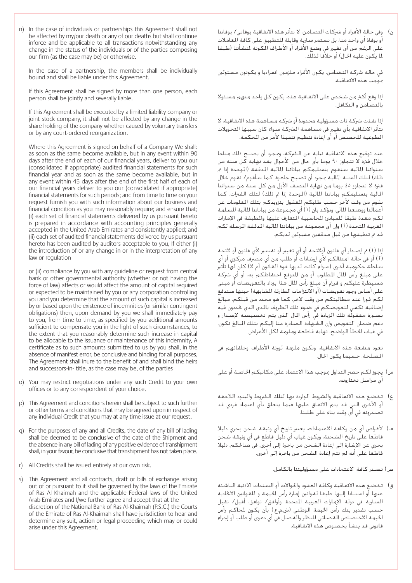n) In the case of individuals or partnerships this Agreement shall not be affected by my/our death or any of our deaths but shall continue inforce and be applicable to all transactions notwithstanding any change in the status of the individuals or of the parties composing our firm (as the case may be) or otherwise.

In the case of a partnership, the members shall be individually bound and shall be liable under this Agreement.

If this Agreement shall be signed by more than one person, each person shall be jointly and severally liable.

If this Agreement shall be executed by a limited liability company or to int stock company, it shall not be affected by any change in the share holding of the company whether caused by voluntary transfers or by any court-ordered reorganization.

Where this Agreement is signed on behalf of a Company We shall: as soon as the same become available, but in any event within 90 days after the end of each of our financial years, deliver to you our (consolidated if appropriate) audited financial statements for such financial year and as soon as the same become available, but in any event within 45 days after the end of the first half of each of our financial years deliver to you our (consolidated if appropriate) financial statements for such periods; and from time to time on your request furnish you with such information about our business and financial condition as you may reasonably require; and ensure that; (i) each set of financial statements delivered by us pursuant hereto is prepared in accordance with accounting principles generally accepted in the United Arab Emirates and consistently applied; and (ii) each set of audited financial statements delivered by us pursuant hereto has been audited by auditors acceptable to you, If either (i) the introduction of or any change in or in the interpretation of any law or regulation

or (ii) compliance by you with any quideline or request from central bank or other governmental authority (whether or not having the force of law) affects or would affect the amount of capital required or expected to be maintained by you or any corporation controlling you and you determine that the amount of such capital is increased by or based upon the existence of indemnities (or similar contingent obligations) then, upon demand by you we shall immediately pay to you, from time to time, as specified by you additional amounts sufficient to compensate you in the light of such circumstances, to the extent that you reasonably determine such increase in capital to be allocable to the issuance or maintenance of this indemnity. A certificate as to such amounts submitted to us by you shall, in the absence of manifest error, be conclusive and binding for all purposes, The Agreement shall inure to the benefit of and shall bind the heirs and successors-in-title, as the case may be, of the parties

- o) You may restrict negotiations under any such Credit to your own offices or to any correspondent of your choice.
- p) This Agreement and conditions herein shall be subject to such further or other terms and conditions that may be agreed upon in respect of any individual Credit that you may at any time issue at our request.
- q) For the purposes of any and all Credits, the date of any bill of lading shall be deemed to be conclusive of the date of the Shipment and the absence in any bill of lading of any positive evidence of transhipment shall, in your favour, be conclusive that transhipment has not taken place.
- r) All Credits shall be issued entirely at our own risk.
- s) This Agreement and all contracts, draft or bills of exchange arising out of or pursuant to it shall be governed by the laws of the Emirate of Ras Al Khaimah and the applicable Federal laws of the United Arab Emirates and I/we further agree and accept that at the discretion of the National Bank of Ras Al-Khaimah (P.S.C.) the Courts of the Emirate of Ras Al-Khaimah shall have jurisdiction to hear and determine any suit, action or legal proceeding which may or could arise under this Agreement.

ن) وفي حالة الأفراد أو شركات التضامن، لا تتأثر هذه الاتفاقية بوفاتي/ بوفاتنا .<br>أو بوفاة أي واحد منا، بل تستمر سارية وقابلة للتطبيق على كافة العاملات على الرغم من أي تغيير في وضع الأفراد أو الأطراف المكونة لمنشأتنا (طبقا ملا يكون عليه احلال( أو خالفا لذلك.

في حالة شركة التضامن، يكون الأفراد ملزمين انفراديا و يكونون مسئولين .<br>موجب هذه الاتفاقية.

إذا وقع أكثر من شخص على الاتفاقية هذه، يكون كل واحد منهم مسئولا بالت�ضامن و التكافل.

إذا نفذت شركـة ذات مسـؤولية محدودة أو شركـه مساهمة هـذه الاتفاقيـة، لا تتأثر الاتفاقية بأي تغيير في مساهمة الشركة سواء كان سببها التحويلات الطوعية للحصص أو أي إعادة تنظيم تنفيذا لأمر من المكمة.

عند توقيع هذه الاتفاقية نيابة عن الشركة، ومجرد أن يصبح ذلك متاحا خلال فترة لا تتجاوز ٩٠ يوما بأي حال من الأحوال بعد نهاية كل سنة من سنواتنا المالية سنقوم بتسليمكم بياناتنا المالية المدققة (الموحدة إذا تم ذلك) لتلك السنة المالية مجرد أن تصبح جاهزة، كما سأقوم/ نقوم خلال .<br>فترة لا تتجاوز 20 يوما من نهاية النصف الأول من كل سنة من سنواتنا المالية بتسليمكم بياناتنا المالية (الموحدة إذا تم ذلك) لتلك الفترات، كما نقوم من وقت لأخر حسب طلبكم العقول بتزويدكم بتلك العلومات عن أعمالنا ووضعنا المالي، ونؤكد بان (١) أي مجموعة من بياناتنا المالية السلمة لكم معدة طبقا للمبادئ الحاسبية المتعارف عليها والطبقة في الإمارات العربية المتحدة (٢) وإن أي مجموعة من بياناتنا المالية المدققة المرسلة لكم قد مت تدقيقها من قبل مدققني مقبولني لديكم.

إذا (١) تم إصدار أي قانون أولائحة أو أي تغيير أو تفسير لأي قانون أو لائحة )2( أو يف حالة امتثالكم لأي إر�شادات أو طلب من أي م�رصف مركزي أو أي سلطة حكومية أخرى (سواء كانت لديها قوة القانون أم لا) كان لها تأثير على مبلغ رأس المال المطلوب أو من المتوقع احتفاظكم به، أو أي شركة مسيطرة عليكم و قررم أن مبلغ رأس المال هذا يزداد بالتعويضات أو مبني على أسـاس وجود تعويضـات (أو الالتزامات الطارئة الشابهة) حينها سـندفع لكم فورا عند مطالبتكم من وقت لآخر، كما هو حمدد من قبلكم، مبالغ إضافية تكفي لتعويضكم فى ضوء تلك الظروف بالمدى الذي خددون فيه بصورة معقولة تلك الزيادة في رأس المال الذي يتم تخصيصه لإصدار و دعم ضمان التعويض وإن الشهادة الصادرة منا إليكم بتلك البالغ تكون. في غياب الخطأ الواضح، نهاية قاطعة وملزمة لكل الأغراض.

تعود منفعة هذه االتفاقية، وتكون ملزمة لورثة الأطراف وخلفائهم يف المصلحة، حسبما يكون الحال.

- س) يجوز لكم حصر التداول موجب هذا الاعتماد على مكاتبكم الخاصة أو على أي مراسل تختارونه.
- ع) تخضع هذه الاتفاقية والشروط الواردة بها لتلك الشروط والبنود اللاحقة أو الأخرى التي قد يتم االتفاق عليها فيما يتعلق بأي اعتماد فردي قد ت�صدرونه يف أي وقت بناء على طلبنا.
- ف) لأغراض أي من وكافة الاعتمادات، يعتبر تاريخ أي وثيقة شحن بحري دليلا قاطعا على تاريخ الشحنة، ويكون غياب أي دليل قاطع في أي وثيقة شحن بحري عن الإ�شارة إلى إعادة ال�شحن من باخرة إلى أخرى، يف �صاحلكم، دليال قاطعًا على أنه لم تتم إعادة الشحن من باخرة إلى أخرى.

�ص( ت�صدر كافة االعتمادات على م�سؤوليتنا بالكامل.

ق) - تخضع هذه الاتفاقية وكافة العقود والحوالات أو السندات الاذنية الناشئة عنها أو استنادا إليها طبقا لقوانين إمارة رأس الخيمة و للقوانين الاخادية ال�سارية يف دولة الإمارات العربية املتحدة. وأوافق/ نوافق، أقبل/ نقبل حسب تقدير بنك رأس الخيمة الوطني (ش.م.ع.) بأن يكون لمحاكم رأس الخيمة الاختصاص القضائي للنظر والفصل في أي دعوى أو طلب أو إجراء قانوني قد ينشأ بخصوص هذه الاتفاقية.